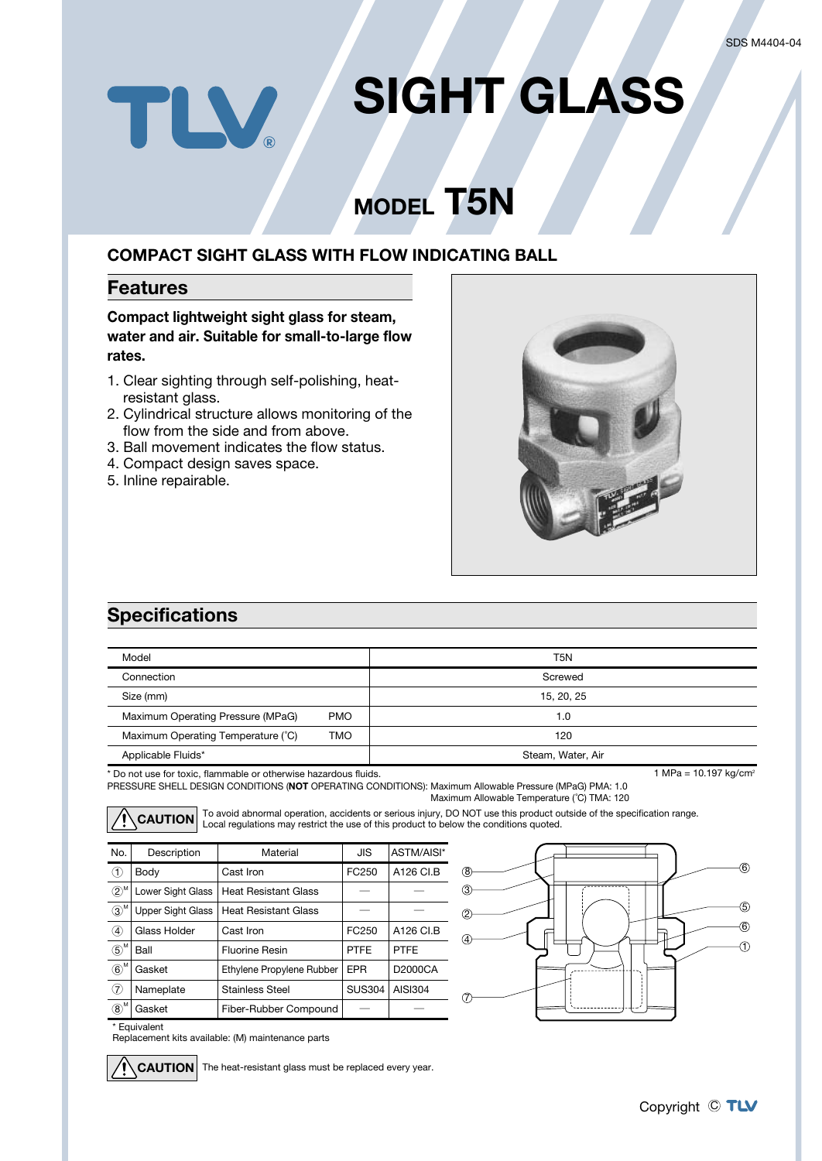# **SIGHT GLASS** TLV.

## **MODEL T5N**

#### **COMPACT SIGHT GLASS WITH FLOW INDICATING BALL**

#### **Features**

**Compact lightweight sight glass for steam, water and air. Suitable for small-to-large flow rates.**

- 1. Clear sighting through self-polishing, heatresistant glass.
- 2. Cylindrical structure allows monitoring of the flow from the side and from above.
- 3. Ball movement indicates the flow status.
- 4. Compact design saves space.
- 5. Inline repairable.



## **Specifications**

| Model                                            | T5N               |
|--------------------------------------------------|-------------------|
| Connection                                       | Screwed           |
| Size (mm)                                        | 15, 20, 25        |
| Maximum Operating Pressure (MPaG)<br><b>PMO</b>  | 1.0               |
| Maximum Operating Temperature (°C)<br><b>TMO</b> | 120               |
| Applicable Fluids*                               | Steam, Water, Air |

\* Do not use for toxic, flammable or otherwise hazardous fluids.

PRESSURE SHELL DESIGN CONDITIONS (**NOT** OPERATING CONDITIONS): Maximum Allowable Pressure (MPaG) PMA: 1.0 Maximum Allowable Temperature (˚C) TMA: 120

CAUTION To avoid abnormal operation, accidents or serious injury, DO NOT use this product outside of the specification range.<br>CAUTION Local regulations may restrict the use of this product to below the conditions quoted.

| No.                                        | Description              | Material                    |               | ASTM/AISI*  |
|--------------------------------------------|--------------------------|-----------------------------|---------------|-------------|
| ➀                                          | Body                     | Cast Iron                   | FC250         | A126 CI.B   |
| $\circledZ^{\scriptscriptstyle\mathsf{M}}$ | Lower Sight Glass        | <b>Heat Resistant Glass</b> |               |             |
| $\circledS^{\mathsf{M}}$                   | <b>Upper Sight Glass</b> | <b>Heat Resistant Glass</b> |               |             |
| 4                                          | Glass Holder             | Cast Iron                   | FC250         | A126 CI.B   |
| M<br>$\circledS$                           | <b>Ball</b>              | <b>Fluorine Resin</b>       | <b>PTFF</b>   | <b>PTFF</b> |
| M<br>$\circled6$                           | Gasket                   | Ethylene Propylene Rubber   | <b>EPR</b>    | D2000CA     |
| (7)                                        | Nameplate                | <b>Stainless Steel</b>      | <b>SUS304</b> | AISI304     |
| .M<br>$\circledR$                          | Gasket                   | Fiber-Rubber Compound       |               |             |



\* Equivalent

Replacement kits available: (M) maintenance parts

**CAUTION** The heat-resistant glass must be replaced every year.

1 MPa =  $10.197$  kg/cm<sup>2</sup>